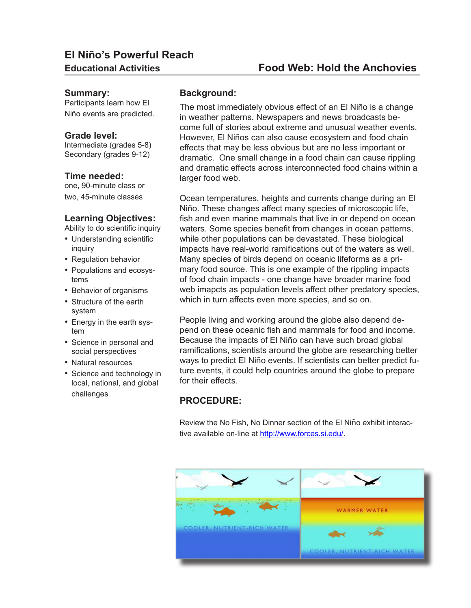# **El Niño's Powerful Reach**

#### **Summary:**

Participants learn how El Niño events are predicted.

#### **Grade level:**

Intermediate (grades 5-8) Secondary (grades 9-12)

#### **Time needed:**

one, 90-minute class or two, 45-minute classes

#### **Learning Objectives:**

Ability to do scientific inquiry

- Understanding scientific inquiry
- Regulation behavior
- Populations and ecosystems
- Behavior of organisms
- Structure of the earth system
- Energy in the earth system
- Science in personal and social perspectives
- Natural resources
- Science and technology in local, national, and global challenges

## **Background:**

The most immediately obvious effect of an El Niño is a change in weather patterns. Newspapers and news broadcasts become full of stories about extreme and unusual weather events. However, El Niños can also cause ecosystem and food chain effects that may be less obvious but are no less important or dramatic. One small change in a food chain can cause rippling and dramatic effects across interconnected food chains within a larger food web.

Ocean temperatures, heights and currents change during an El Niño. These changes affect many species of microscopic life, fish and even marine mammals that live in or depend on ocean waters. Some species benefit from changes in ocean patterns, while other populations can be devastated. These biological impacts have real-world ramifications out of the waters as well. Many species of birds depend on oceanic lifeforms as a primary food source. This is one example of the rippling impacts of food chain impacts - one change have broader marine food web imapcts as population levels affect other predatory species, which in turn affects even more species, and so on.

People living and working around the globe also depend depend on these oceanic fish and mammals for food and income. Because the impacts of El Niño can have such broad global ramifications, scientists around the globe are researching better ways to predict El Niño events. If scientists can better predict future events, it could help countries around the globe to prepare for their effects.

# **PROCEDURE:**

Review the No Fish, No Dinner section of the El Niño exhibit interactive available on-line at [http://www.forces.si.edu/.](http://www.forces.si.edu/)

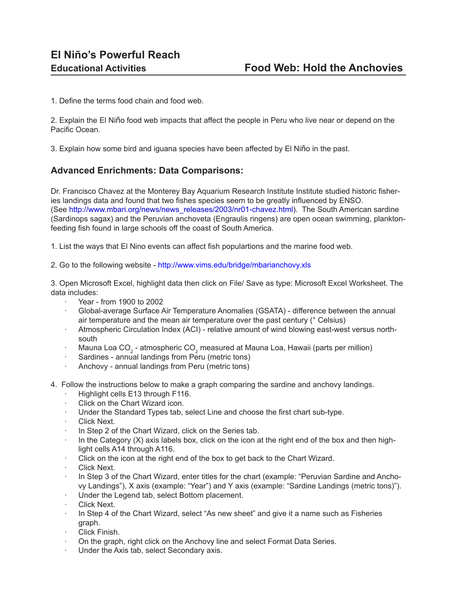1. Define the terms food chain and food web.

2. Explain the El Niño food web impacts that affect the people in Peru who live near or depend on the Pacific Ocean.

3. Explain how some bird and iguana species have been affected by El Niño in the past.

## **Advanced Enrichments: Data Comparisons:**

Dr. Francisco Chavez at the Monterey Bay Aquarium Research Institute Institute studied historic fisheries landings data and found that two fishes species seem to be greatly influenced by ENSO. (See [http://www.mbari.org/news/news\\_releases/2003/nr01-chavez.html](http://www.mbari.org/news/news_releases/2003/nr01-chavez.html)). The South American sardine (Sardinops sagax) and the Peruvian anchoveta (Engraulis ringens) are open ocean swimming, planktonfeeding fish found in large schools off the coast of South America.

1. List the ways that El Nino events can affect fish populartions and the marine food web.

2. Go to the following website - <http://www.vims.edu/bridge/mbarianchovy.xls>

3. Open Microsoft Excel, highlight data then click on File/ Save as type: Microsoft Excel Worksheet. The data includes:

- · Year from 1900 to 2002
- · Global-average Surface Air Temperature Anomalies (GSATA) difference between the annual air temperature and the mean air temperature over the past century (° Celsius)
- Atmospheric Circulation Index (ACI) relative amount of wind blowing east-west versus northsouth
- $\cdot$  Mauna Loa CO<sub>2</sub> atmospheric CO<sub>2</sub> measured at Mauna Loa, Hawaii (parts per million)
- Sardines annual landings from Peru (metric tons)
- · Anchovy annual landings from Peru (metric tons)
- 4. Follow the instructions below to make a graph comparing the sardine and anchovy landings.
	- Highlight cells E13 through F116.
	- Click on the Chart Wizard icon.
	- Under the Standard Types tab, select Line and choose the first chart sub-type.
	- Click Next.
	- In Step 2 of the Chart Wizard, click on the Series tab.
	- In the Category  $(X)$  axis labels box, click on the icon at the right end of the box and then highlight cells A14 through A116.
	- Click on the icon at the right end of the box to get back to the Chart Wizard.
	- Click Next.
	- In Step 3 of the Chart Wizard, enter titles for the chart (example: "Peruvian Sardine and Anchovy Landings"), X axis (example: "Year") and Y axis (example: "Sardine Landings (metric tons)").
	- Under the Legend tab, select Bottom placement.
	- Click Next.
	- In Step 4 of the Chart Wizard, select "As new sheet" and give it a name such as Fisheries graph.
	- Click Finish.
	- · On the graph, right click on the Anchovy line and select Format Data Series.
	- Under the Axis tab, select Secondary axis.